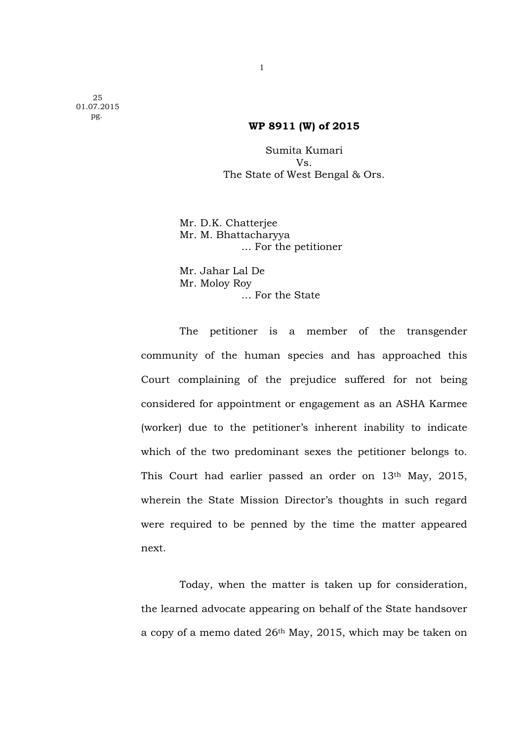25 01.07.2015 pg.

## **WP 8911 (W) of 2015**

Sumita Kumari Vs. The State of West Bengal & Ors.

 Mr. D.K. Chatterjee Mr. M. Bhattacharyya … For the petitioner

 Mr. Jahar Lal De Mr. Moloy Roy … For the State

 The petitioner is a member of the transgender community of the human species and has approached this Court complaining of the prejudice suffered for not being considered for appointment or engagement as an ASHA Karmee (worker) due to the petitioner's inherent inability to indicate which of the two predominant sexes the petitioner belongs to. This Court had earlier passed an order on 13<sup>th</sup> May, 2015, wherein the State Mission Director's thoughts in such regard were required to be penned by the time the matter appeared next.

 Today, when the matter is taken up for consideration, the learned advocate appearing on behalf of the State handsover a copy of a memo dated 26th May, 2015, which may be taken on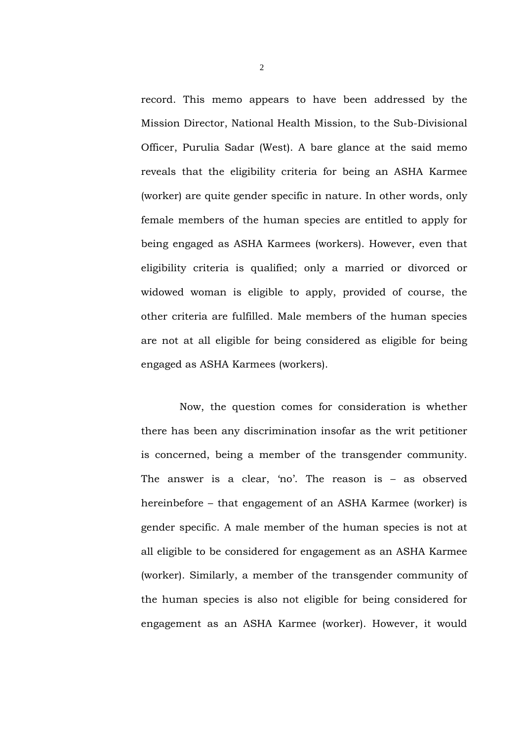record. This memo appears to have been addressed by the Mission Director, National Health Mission, to the Sub-Divisional Officer, Purulia Sadar (West). A bare glance at the said memo reveals that the eligibility criteria for being an ASHA Karmee (worker) are quite gender specific in nature. In other words, only female members of the human species are entitled to apply for being engaged as ASHA Karmees (workers). However, even that eligibility criteria is qualified; only a married or divorced or widowed woman is eligible to apply, provided of course, the other criteria are fulfilled. Male members of the human species are not at all eligible for being considered as eligible for being engaged as ASHA Karmees (workers).

 Now, the question comes for consideration is whether there has been any discrimination insofar as the writ petitioner is concerned, being a member of the transgender community. The answer is a clear, 'no'. The reason is – as observed hereinbefore – that engagement of an ASHA Karmee (worker) is gender specific. A male member of the human species is not at all eligible to be considered for engagement as an ASHA Karmee (worker). Similarly, a member of the transgender community of the human species is also not eligible for being considered for engagement as an ASHA Karmee (worker). However, it would